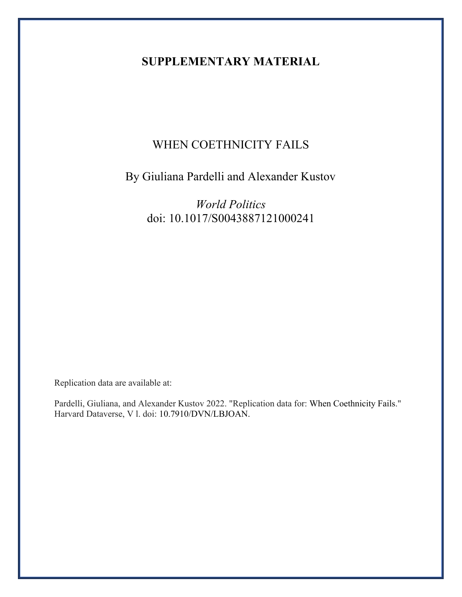## **SUPPLEMENTARY MATERIAL**

## WHEN COETHNICITY FAILS

# By Giuliana Pardelli and Alexander Kustov

*World Politics* doi: 10.1017/S0043887121000241

Replication data are available at:

Pardelli, Giuliana, and Alexander Kustov 2022. "Replication data for: When Coethnicity Fails." Harvard Dataverse, V l. doi: 10.7910/DVN/LBJOAN.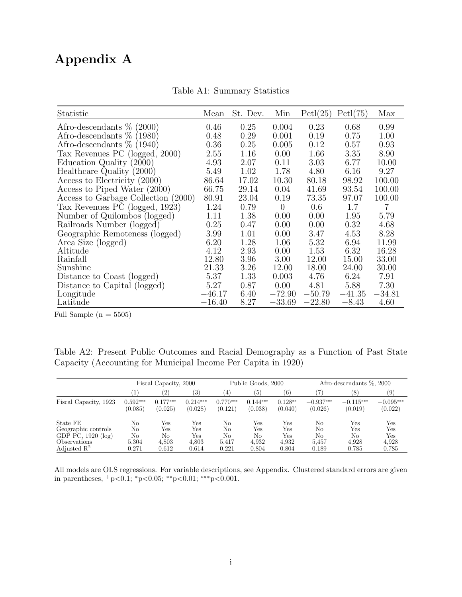# Appendix A

| Statistic                           | Mean     | St. Dev. | Min            | Pctl(25) | Pctl(75) | Max      |
|-------------------------------------|----------|----------|----------------|----------|----------|----------|
| Afro-descendants $\%$ (2000)        | 0.46     | 0.25     | 0.004          | 0.23     | 0.68     | 0.99     |
| Afro-descendants $%$<br>(1980)      | 0.48     | 0.29     | 0.001          | 0.19     | 0.75     | 1.00     |
| Afro-descendants $\%$ (1940)        | 0.36     | 0.25     | 0.005          | 0.12     | 0.57     | 0.93     |
| Tax Revenues PC (logged, 2000)      | 2.55     | 1.16     | 0.00           | 1.66     | 3.35     | 8.90     |
| Education Quality (2000)            | 4.93     | 2.07     | 0.11           | 3.03     | 6.77     | 10.00    |
| Healthcare Quality (2000)           | 5.49     | 1.02     | 1.78           | 4.80     | 6.16     | 9.27     |
| Access to Electricity (2000)        | 86.64    | 17.02    | 10.30          | 80.18    | 98.92    | 100.00   |
| Access to Piped Water (2000)        | 66.75    | 29.14    | 0.04           | 41.69    | 93.54    | 100.00   |
| Access to Garbage Collection (2000) | 80.91    | 23.04    | 0.19           | 73.35    | 97.07    | 100.00   |
| Tax Revenues PC (logged, 1923)      | 1.24     | 0.79     | $\overline{0}$ | 0.6      | 1.7      | 7        |
| Number of Quilombos (logged)        | 1.11     | 1.38     | 0.00           | 0.00     | 1.95     | 5.79     |
| Railroads Number (logged)           | 0.25     | 0.47     | 0.00           | 0.00     | 0.32     | 4.68     |
| Geographic Remoteness (logged)      | 3.99     | 1.01     | 0.00           | 3.47     | 4.53     | 8.28     |
| Area Size (logged)                  | 6.20     | 1.28     | 1.06           | 5.32     | 6.94     | 11.99    |
| Altitude                            | 4.12     | 2.93     | 0.00           | 1.53     | 6.32     | 16.28    |
| Rainfall                            | 12.80    | 3.96     | 3.00           | 12.00    | 15.00    | 33.00    |
| Sunshine                            | 21.33    | 3.26     | 12.00          | 18.00    | 24.00    | 30.00    |
| Distance to Coast (logged)          | 5.37     | 1.33     | 0.003          | 4.76     | 6.24     | 7.91     |
| Distance to Capital (logged)        | 5.27     | 0.87     | 0.00           | 4.81     | 5.88     | 7.30     |
| Longitude                           | $-46.17$ | 6.40     | $-72.90$       | $-50.79$ | $-41.35$ | $-34.81$ |
| Latitude                            | $-16.40$ | 8.27     | $-33.69$       | $-22.80$ | $-8.43$  | 4.60     |

Table A1: Summary Statistics

Full Sample  $(n = 5505)$ 

Table A2: Present Public Outcomes and Racial Demography as a Function of Past State Capacity (Accounting for Municipal Income Per Capita in 1920)

|                                  |            | Fiscal Capacity, 2000 |            |            | Public Goods, 2000 |           |             | Afro-descendants $\%$ , 2000 |             |
|----------------------------------|------------|-----------------------|------------|------------|--------------------|-----------|-------------|------------------------------|-------------|
|                                  |            | (2)                   | (3)        | (4)        | (5)                | (6)       | 7)          | (8)                          | (9)         |
| Fiscal Capacity, 1923            | $0.592***$ | $0.177***$            | $0.214***$ | $0.770***$ | $0.144***$         | $0.128**$ | $-0.937***$ | $-0.115***$                  | $-0.095***$ |
|                                  | (0.085)    | (0.025)               | (0.028)    | (0.121)    | (0.038)            | (0.040)   | (0.026)     | (0.019)                      | (0.022)     |
| State FE                         | No         | Yes                   | Yes        | No         | Yes                | Yes       | No          | Yes                          | Yes         |
| Geographic controls              | No         | Yes                   | Yes        | No         | Yes                | Yes       | No          | Yes                          | Yes         |
| GDP $\overline{PC}$ , 1920 (log) | No         | No                    | Yes        | No         | No                 | Yes       | No          | No                           | Yes         |
| Observations                     | 5,304      | 4,803                 | 4,803      | 5.417      | 4.932              | 4.932     | 5.457       | 4.928                        | 4.928       |
| Adjusted $\mathbb{R}^2$          | 0.271      | 0.612                 | 0.614      | 0.221      | 0.804              | 0.804     | 0.189       | 0.785                        | 0.785       |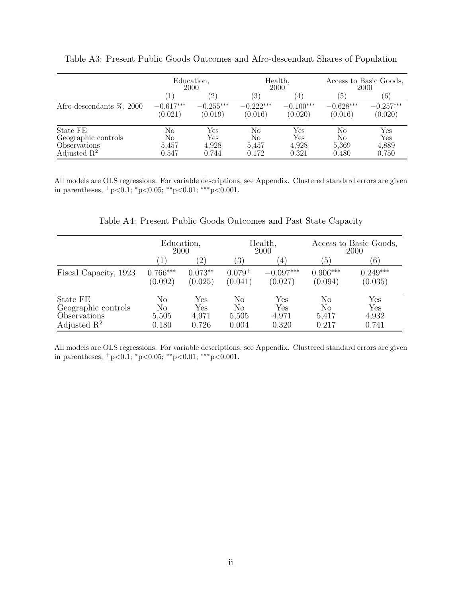|                                                                            | Education,<br>2000         |                              | Health,<br>2000            |                              | Access to Basic Goods,<br>2000 |                                                                |
|----------------------------------------------------------------------------|----------------------------|------------------------------|----------------------------|------------------------------|--------------------------------|----------------------------------------------------------------|
|                                                                            |                            | (2)                          | $\left(3\right)$           | $\left(4\right)$             | $\left(5\right)$               | (6)                                                            |
| Afro-descendants $\%$ , 2000                                               | $-0.617***$<br>(0.021)     | $-0.255***$<br>(0.019)       | $-0.222***$<br>(0.016)     | $-0.100***$<br>(0.020)       | $-0.628***$<br>(0.016)         | $-0.257***$<br>(0.020)                                         |
| State FE<br>Geographic controls<br>Observations<br>Adjusted $\mathbb{R}^2$ | No<br>No<br>5,457<br>0.547 | Yes<br>Yes<br>4,928<br>0.744 | No<br>No<br>5,457<br>0.172 | Yes<br>Yes<br>4,928<br>0.321 | No<br>No<br>5,369<br>0.480     | $\operatorname{Yes}$<br>$\operatorname{Yes}$<br>4,889<br>0.750 |

Table A3: Present Public Goods Outcomes and Afro-descendant Shares of Population

All models are OLS regressions. For variable descriptions, see Appendix. Clustered standard errors are given in parentheses, <sup>+</sup>p<0.1; <sup>∗</sup>p<0.05; ∗∗p<0.01; ∗∗∗p<0.001.

Table A4: Present Public Goods Outcomes and Past State Capacity

|                         | Education,<br>2000    |                      |                        | Health,<br>2000        | Access to Basic Goods,<br>2000 |                       |
|-------------------------|-----------------------|----------------------|------------------------|------------------------|--------------------------------|-----------------------|
|                         | $ 1\rangle$           | $^{\prime}2)$        | $\left(3\right)$       | $\left(4\right)$       | (5)                            | (6)                   |
| Fiscal Capacity, 1923   | $0.766***$<br>(0.092) | $0.073**$<br>(0.025) | $0.079^{+}$<br>(0.041) | $-0.097***$<br>(0.027) | $0.906***$<br>(0.094)          | $0.249***$<br>(0.035) |
| State FE                | No                    | Yes                  | No                     | ${\rm Yes}$            | No                             | Yes                   |
| Geographic controls     | No                    | Yes                  | No                     | $\operatorname{Yes}$   | N <sub>o</sub>                 | ${\rm Yes}$           |
| Observations            | 5,505                 | 4,971                | 5,505                  | 4,971                  | 5,417                          | 4,932                 |
| Adjusted $\mathbb{R}^2$ | 0.180                 | 0.726                | 0.004                  | 0.320                  | 0.217                          | 0.741                 |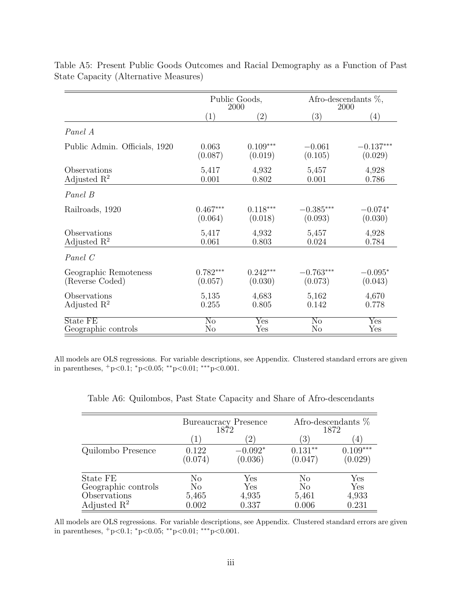|                               | Public Goods,<br>2000  |                           | Afro-descendants $\%$ ,<br>2000 |                           |
|-------------------------------|------------------------|---------------------------|---------------------------------|---------------------------|
|                               | (1)                    | $\left( 2\right)$         | $\left( 3\right)$               | (4)                       |
| Panel A                       |                        |                           |                                 |                           |
| Public Admin. Officials, 1920 | 0.063                  | $0.109***$                | $-0.061$                        | $-0.137***$               |
|                               | (0.087)                | (0.019)                   | (0.105)                         | (0.029)                   |
| Observations                  | 5,417                  | 4,932                     | 5,457                           | 4,928                     |
| Adjusted $\mathbb{R}^2$       | 0.001                  | 0.802                     | 0.001                           | 0.786                     |
| Panel B                       |                        |                           |                                 |                           |
| Railroads, 1920               | $0.467***$             | $0.118***$                | $-0.385***$                     | $-0.074*$                 |
|                               | (0.064)                | (0.018)                   | (0.093)                         | (0.030)                   |
| Observations                  | 5,417                  | 4,932                     | 5,457                           | 4,928                     |
| Adjusted $\mathbb{R}^2$       | 0.061                  | 0.803                     | 0.024                           | 0.784                     |
| Panel C                       |                        |                           |                                 |                           |
| Geographic Remoteness         | $0.782***$             | $0.242***$                | $-0.763***$                     | $-0.095*$                 |
| (Reverse Coded)               | (0.057)                | (0.030)                   | (0.073)                         | (0.043)                   |
| Observations                  | 5,135                  | 4,683                     | 5,162                           | 4,670                     |
| Adjusted $\mathbb{R}^2$       | 0.255                  | 0.805                     | 0.142                           | 0.778                     |
| State FE                      | $\overline{\text{No}}$ | $\overline{\mathrm{Yes}}$ | $\overline{\text{No}}$          | $\overline{\mathrm{Yes}}$ |
| Geographic controls           | N <sub>o</sub>         | Yes                       | $\rm No$                        | Yes                       |

Table A5: Present Public Goods Outcomes and Racial Demography as a Function of Past State Capacity (Alternative Measures)

All models are OLS regressions. For variable descriptions, see Appendix. Clustered standard errors are given in parentheses,  $+p<0.1$ ;  ${}^*p<0.05$ ;  ${}^*p<0.01$ ;  ${}^{**}p<0.001$ .

|                         |                  | Bureaucracy Presence<br>1872 | Afro-descendants $%$<br>1872 |                       |  |
|-------------------------|------------------|------------------------------|------------------------------|-----------------------|--|
|                         | $\mathbf{1}$     | $\overline{2}$               | $\left(3\right)$             | 4                     |  |
| Quilombo Presence       | 0.122<br>(0.074) | $-0.092*$<br>(0.036)         | $0.131**$<br>(0.047)         | $0.109***$<br>(0.029) |  |
| State FE                | No               | Yes                          | No                           | Yes                   |  |
| Geographic controls     | $\rm No$         | Yes                          | $\rm No$                     | Yes                   |  |
| Observations            | 5,465            | 4,935                        | 5,461                        | 4,933                 |  |
| Adjusted $\mathbb{R}^2$ | $0.002\,$        | 0.337                        | 0.006                        | 0.231                 |  |

Table A6: Quilombos, Past State Capacity and Share of Afro-descendants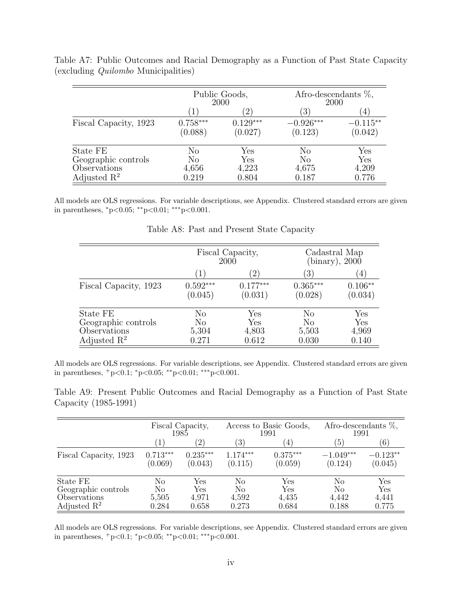|                         |                       | Public Goods,<br>2000 |                        | Afro-descendants $\%$ ,<br>2000 |
|-------------------------|-----------------------|-----------------------|------------------------|---------------------------------|
|                         |                       | $^{(2)}$              | $\left 3\right\rangle$ | $\overline{4}$                  |
| Fiscal Capacity, 1923   | $0.758***$<br>(0.088) | $0.129***$<br>(0.027) | $-0.926***$<br>(0.123) | $-0.115**$<br>(0.042)           |
| State FE                | $\rm No$              | Yes                   | No                     | Yes                             |
| Geographic controls     | No                    | $\operatorname{Yes}$  | No                     | $\operatorname{Yes}$            |
| Observations            | 4,656                 | 4,223                 | 4,675                  | 4,209                           |
| Adjusted $\mathbb{R}^2$ | 0.219                 | 0.804                 | 0.187                  | 0.776                           |

Table A7: Public Outcomes and Racial Demography as a Function of Past State Capacity (excluding Quilombo Municipalities)

All models are OLS regressions. For variable descriptions, see Appendix. Clustered standard errors are given in parentheses, <sup>∗</sup>p<0.05; ∗∗p<0.01; ∗∗∗p<0.001.

|                         |                       | Fiscal Capacity,<br>2000 | Cadastral Map<br>(binary), 2000 |                      |  |
|-------------------------|-----------------------|--------------------------|---------------------------------|----------------------|--|
|                         | 1                     | $\left(2\right)$         | $\left(3\right)$                | $\left( 4\right)$    |  |
| Fiscal Capacity, 1923   | $0.592***$<br>(0.045) | $0.177***$<br>(0.031)    | $0.365***$<br>(0.028)           | $0.106**$<br>(0.034) |  |
| State FE                | No                    | Yes                      | $\rm No$                        | Yes                  |  |
| Geographic controls     | N <sub>o</sub>        | ${\rm Yes}$              | N <sub>o</sub>                  | Yes                  |  |
| Observations            | 5,304                 | 4,803                    | 5,503                           | 4,969                |  |
| Adjusted $\mathbb{R}^2$ | 0.271                 | 0.612                    | 0.030                           | 0.140                |  |

Table A8: Past and Present State Capacity

All models are OLS regressions. For variable descriptions, see Appendix. Clustered standard errors are given in parentheses, <sup>+</sup>p<0.1; <sup>∗</sup>p<0.05; ∗∗p<0.01; ∗∗∗p<0.001.

Table A9: Present Public Outcomes and Racial Demography as a Function of Past State Capacity (1985-1991)

|                         | Fiscal Capacity,<br>1985 |                   |            | Access to Basic Goods,<br>1991 | Afro-descendants $\%$ ,<br>1991 |            |
|-------------------------|--------------------------|-------------------|------------|--------------------------------|---------------------------------|------------|
|                         | $\left  \right $         | $\left( 2\right)$ | 3)         | $\overline{4}$                 | ΄5)                             | (6)        |
| Fiscal Capacity, 1923   | $0.713***$               | $0.235***$        | $1.174***$ | $0.375***$                     | $-1.049***$                     | $-0.123**$ |
|                         | (0.069)                  | (0.043)           | (0.115)    | (0.059)                        | (0.124)                         | (0.045)    |
| State FE                | No                       | $_{\rm Yes}$      | No         | Yes                            | No                              | Yes        |
| Geographic controls     | No                       | Yes               | No         | Yes                            | No                              | Yes        |
| Observations            | 5,505                    | 4,971             | 4,592      | 4,435                          | 4,442                           | 4,441      |
| Adjusted $\mathbb{R}^2$ | 0.284                    | 0.658             | 0.273      | 0.684                          | 0.188                           | 0.775      |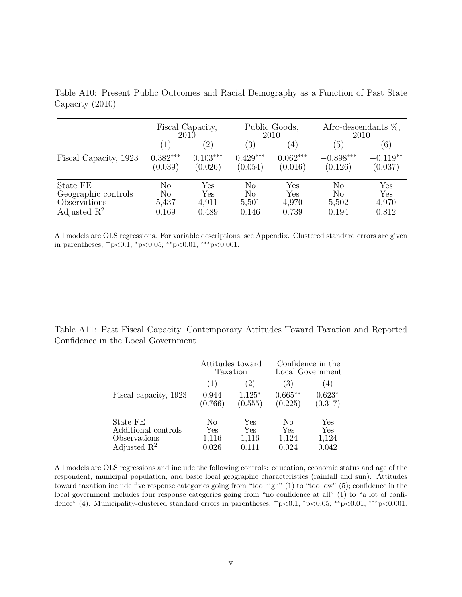|                                                                            | Fiscal Capacity,<br>$201\overline{0}$ |                              |                            | Public Goods,<br>2010                         | Afro-descendants $\%$ ,<br>2010        |                              |
|----------------------------------------------------------------------------|---------------------------------------|------------------------------|----------------------------|-----------------------------------------------|----------------------------------------|------------------------------|
|                                                                            | $\left(1\right)$                      | $\left( 2\right)$            | $\left(3\right)$           | $\left(4\right)$                              | $\left(5\right)$                       | (6)                          |
| Fiscal Capacity, 1923                                                      | $0.382***$<br>(0.039)                 | $0.103***$<br>(0.026)        | $0.429***$<br>(0.054)      | $0.062***$<br>(0.016)                         | $-0.898***$<br>(0.126)                 | $-0.119**$<br>(0.037)        |
| State FE<br>Geographic controls<br>Observations<br>Adjusted $\mathbb{R}^2$ | $\rm No$<br>No<br>5,437<br>0.169      | Yes<br>Yes<br>4,911<br>0.489 | No<br>No<br>5,501<br>0.146 | $\operatorname{Yes}$<br>Yes<br>4,970<br>0.739 | $\rm No$<br>$\rm No$<br>5,502<br>0.194 | Yes<br>Yes<br>4,970<br>0.812 |

Table A10: Present Public Outcomes and Racial Demography as a Function of Past State Capacity (2010)

All models are OLS regressions. For variable descriptions, see Appendix. Clustered standard errors are given in parentheses, <sup>+</sup>p<0.1; <sup>∗</sup>p<0.05; ∗∗p<0.01; ∗∗∗p<0.001.

Table A11: Past Fiscal Capacity, Contemporary Attitudes Toward Taxation and Reported Confidence in the Local Government

|                                                                            |                             | Attitudes toward<br>Taxation | Confidence in the<br>Local Government |                              |  |
|----------------------------------------------------------------------------|-----------------------------|------------------------------|---------------------------------------|------------------------------|--|
|                                                                            | $\left(1\right)$            | (2)                          | 3)                                    | (4)                          |  |
| Fiscal capacity, 1923                                                      | 0.944<br>(0.766)            | $1.125*$<br>(0.555)          | $0.665**$<br>(0.225)                  | $0.623*$<br>(0.317)          |  |
| State FE<br>Additional controls<br>Observations<br>Adjusted $\mathbb{R}^2$ | No<br>Yes<br>1,116<br>0.026 | Yes<br>Yes<br>1,116<br>0.111 | No<br>Yes<br>1,124<br>0.024           | Yes<br>Yes<br>1,124<br>0.042 |  |

All models are OLS regressions and include the following controls: education, economic status and age of the respondent, municipal population, and basic local geographic characteristics (rainfall and sun). Attitudes toward taxation include five response categories going from "too high" (1) to "too low" (5); confidence in the local government includes four response categories going from "no confidence at all" (1) to "a lot of confidence" (4). Municipality-clustered standard errors in parentheses,  $+p<0.1$ ;  $^*p<0.05$ ;  $^{**}p<0.01$ ;  $^{***}p<0.001$ .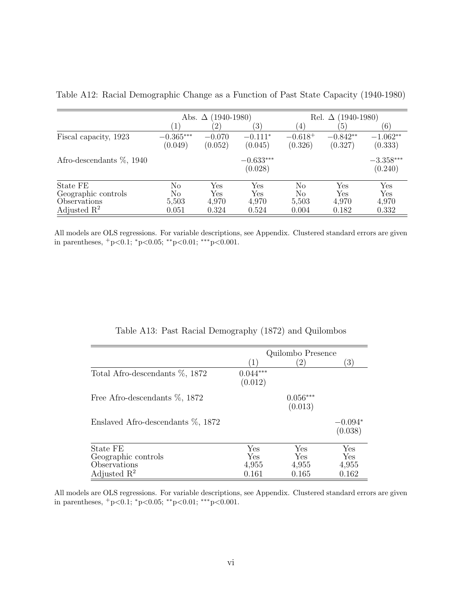|                                                                            | Abs. $\Delta$              | $(1940-1980)$                |                              | $(1940 - 1980)$<br>Rel. $\Delta$ |                              |                              |
|----------------------------------------------------------------------------|----------------------------|------------------------------|------------------------------|----------------------------------|------------------------------|------------------------------|
|                                                                            |                            | (2)                          | $\left( 3\right)$            | (4)                              | $\left(5\right)$             | (6)                          |
| Fiscal capacity, 1923                                                      | $-0.365***$<br>(0.049)     | $-0.070$<br>(0.052)          | $-0.111*$<br>(0.045)         | $-0.618+$<br>(0.326)             | $-0.842**$<br>(0.327)        | $-1.062**$<br>(0.333)        |
| Afro-descendants $\%$ , 1940                                               |                            |                              | $-0.633***$<br>(0.028)       |                                  |                              | $-3.358***$<br>(0.240)       |
| State FE<br>Geographic controls<br>Observations<br>Adjusted $\mathbb{R}^2$ | No<br>No<br>5,503<br>0.051 | Yes<br>Yes<br>4,970<br>0.324 | Yes<br>Yes<br>4,970<br>0.524 | No<br>No<br>5,503<br>0.004       | Yes<br>Yes<br>4,970<br>0.182 | Yes<br>Yes<br>4,970<br>0.332 |

Table A12: Racial Demographic Change as a Function of Past State Capacity (1940-1980)

All models are OLS regressions. For variable descriptions, see Appendix. Clustered standard errors are given in parentheses,  $+p<0.1$ ;  $>p<0.05$ ; \*\*p $<0.01$ ; \*\*\*p $<0.001$ .

|                                       | Quilombo Presence     |                       |                      |  |  |  |
|---------------------------------------|-----------------------|-----------------------|----------------------|--|--|--|
|                                       | $\left  \right $      | $^{\prime}2)$         | $\left(3\right)$     |  |  |  |
| Total Afro-descendants $\%$ , 1872    | $0.044***$<br>(0.012) |                       |                      |  |  |  |
| Free Afro-descendants $\%$ , 1872     |                       | $0.056***$<br>(0.013) |                      |  |  |  |
| Enslaved Afro-descendants $\%$ , 1872 |                       |                       | $-0.094*$<br>(0.038) |  |  |  |
| State FE                              | Yes                   | Yes                   | Yes                  |  |  |  |
| Geographic controls                   | Yes                   | Yes                   | Yes                  |  |  |  |
| Observations                          | 4,955                 | 4,955                 | 4,955                |  |  |  |
| Adjusted $\mathbb{R}^2$               | 0.161                 | 0.165                 | 0.162                |  |  |  |

Table A13: Past Racial Demography (1872) and Quilombos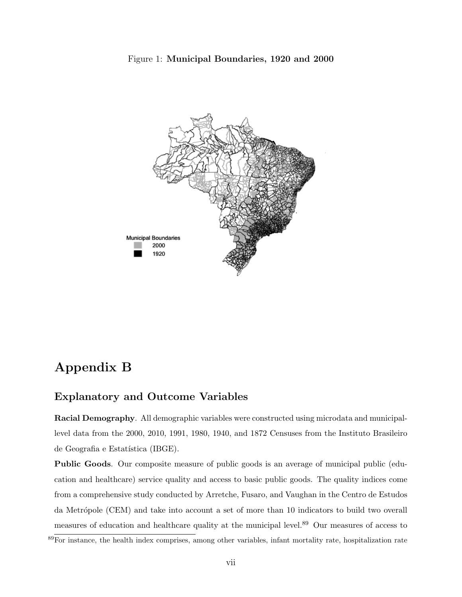



## Appendix B

#### Explanatory and Outcome Variables

Racial Demography. All demographic variables were constructed using microdata and municipallevel data from the 2000, 2010, 1991, 1980, 1940, and 1872 Censuses from the Instituto Brasileiro de Geografia e Estatística (IBGE).

Public Goods. Our composite measure of public goods is an average of municipal public (education and healthcare) service quality and access to basic public goods. The quality indices come from a comprehensive study conducted by Arretche, Fusaro, and Vaughan in the Centro de Estudos da Metrópole (CEM) and take into account a set of more than 10 indicators to build two overall measures of education and healthcare quality at the municipal level.<sup>89</sup> Our measures of access to

<sup>89</sup>For instance, the health index comprises, among other variables, infant mortality rate, hospitalization rate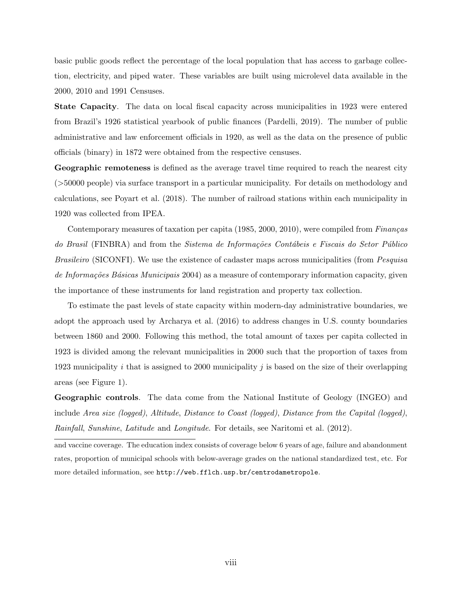basic public goods reflect the percentage of the local population that has access to garbage collection, electricity, and piped water. These variables are built using microlevel data available in the 2000, 2010 and 1991 Censuses.

State Capacity. The data on local fiscal capacity across municipalities in 1923 were entered from Brazil's 1926 statistical yearbook of public finances (Pardelli, 2019). The number of public administrative and law enforcement officials in 1920, as well as the data on the presence of public officials (binary) in 1872 were obtained from the respective censuses.

Geographic remoteness is defined as the average travel time required to reach the nearest city (>50000 people) via surface transport in a particular municipality. For details on methodology and calculations, see Poyart et al. (2018). The number of railroad stations within each municipality in 1920 was collected from IPEA.

Contemporary measures of taxation per capita  $(1985, 2000, 2010)$ , were compiled from Finanças do Brasil (FINBRA) and from the Sistema de Informações Contábeis e Fiscais do Setor Público Brasileiro (SICONFI). We use the existence of cadaster maps across municipalities (from Pesquisa de Informações Básicas Municipais 2004) as a measure of contemporary information capacity, given the importance of these instruments for land registration and property tax collection.

To estimate the past levels of state capacity within modern-day administrative boundaries, we adopt the approach used by Archarya et al. (2016) to address changes in U.S. county boundaries between 1860 and 2000. Following this method, the total amount of taxes per capita collected in 1923 is divided among the relevant municipalities in 2000 such that the proportion of taxes from 1923 municipality i that is assigned to 2000 municipality j is based on the size of their overlapping areas (see Figure 1).

Geographic controls. The data come from the National Institute of Geology (INGEO) and include Area size (logged), Altitude, Distance to Coast (logged), Distance from the Capital (logged), Rainfall, Sunshine, Latitude and Longitude. For details, see Naritomi et al. (2012).

and vaccine coverage. The education index consists of coverage below 6 years of age, failure and abandonment rates, proportion of municipal schools with below-average grades on the national standardized test, etc. For more detailed information, see <http://web.fflch.usp.br/centrodametropole>.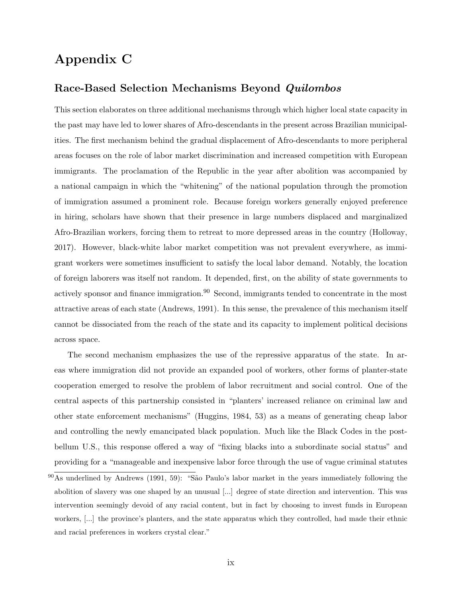## Appendix C

#### Race-Based Selection Mechanisms Beyond Quilombos

This section elaborates on three additional mechanisms through which higher local state capacity in the past may have led to lower shares of Afro-descendants in the present across Brazilian municipalities. The first mechanism behind the gradual displacement of Afro-descendants to more peripheral areas focuses on the role of labor market discrimination and increased competition with European immigrants. The proclamation of the Republic in the year after abolition was accompanied by a national campaign in which the "whitening" of the national population through the promotion of immigration assumed a prominent role. Because foreign workers generally enjoyed preference in hiring, scholars have shown that their presence in large numbers displaced and marginalized Afro-Brazilian workers, forcing them to retreat to more depressed areas in the country (Holloway, 2017). However, black-white labor market competition was not prevalent everywhere, as immigrant workers were sometimes insufficient to satisfy the local labor demand. Notably, the location of foreign laborers was itself not random. It depended, first, on the ability of state governments to actively sponsor and finance immigration.<sup>90</sup> Second, immigrants tended to concentrate in the most attractive areas of each state (Andrews, 1991). In this sense, the prevalence of this mechanism itself cannot be dissociated from the reach of the state and its capacity to implement political decisions across space.

The second mechanism emphasizes the use of the repressive apparatus of the state. In areas where immigration did not provide an expanded pool of workers, other forms of planter-state cooperation emerged to resolve the problem of labor recruitment and social control. One of the central aspects of this partnership consisted in "planters' increased reliance on criminal law and other state enforcement mechanisms" (Huggins, 1984, 53) as a means of generating cheap labor and controlling the newly emancipated black population. Much like the Black Codes in the postbellum U.S., this response offered a way of "fixing blacks into a subordinate social status" and providing for a "manageable and inexpensive labor force through the use of vague criminal statutes

 $^{90}$ As underlined by Andrews (1991, 59): "São Paulo's labor market in the years immediately following the abolition of slavery was one shaped by an unusual [...] degree of state direction and intervention. This was intervention seemingly devoid of any racial content, but in fact by choosing to invest funds in European workers, [...] the province's planters, and the state apparatus which they controlled, had made their ethnic and racial preferences in workers crystal clear."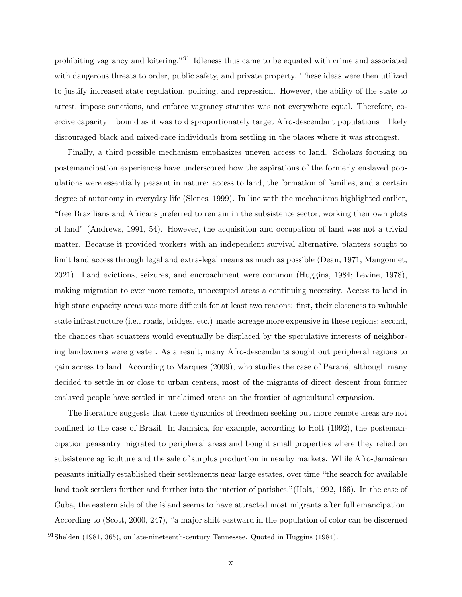prohibiting vagrancy and loitering."91 Idleness thus came to be equated with crime and associated with dangerous threats to order, public safety, and private property. These ideas were then utilized to justify increased state regulation, policing, and repression. However, the ability of the state to arrest, impose sanctions, and enforce vagrancy statutes was not everywhere equal. Therefore, coercive capacity – bound as it was to disproportionately target Afro-descendant populations – likely discouraged black and mixed-race individuals from settling in the places where it was strongest.

Finally, a third possible mechanism emphasizes uneven access to land. Scholars focusing on postemancipation experiences have underscored how the aspirations of the formerly enslaved populations were essentially peasant in nature: access to land, the formation of families, and a certain degree of autonomy in everyday life (Slenes, 1999). In line with the mechanisms highlighted earlier, "free Brazilians and Africans preferred to remain in the subsistence sector, working their own plots of land" (Andrews, 1991, 54). However, the acquisition and occupation of land was not a trivial matter. Because it provided workers with an independent survival alternative, planters sought to limit land access through legal and extra-legal means as much as possible (Dean, 1971; Mangonnet, 2021). Land evictions, seizures, and encroachment were common (Huggins, 1984; Levine, 1978), making migration to ever more remote, unoccupied areas a continuing necessity. Access to land in high state capacity areas was more difficult for at least two reasons: first, their closeness to valuable state infrastructure (i.e., roads, bridges, etc.) made acreage more expensive in these regions; second, the chances that squatters would eventually be displaced by the speculative interests of neighboring landowners were greater. As a result, many Afro-descendants sought out peripheral regions to gain access to land. According to Marques (2009), who studies the case of Paraná, although many decided to settle in or close to urban centers, most of the migrants of direct descent from former enslaved people have settled in unclaimed areas on the frontier of agricultural expansion.

The literature suggests that these dynamics of freedmen seeking out more remote areas are not confined to the case of Brazil. In Jamaica, for example, according to Holt (1992), the postemancipation peasantry migrated to peripheral areas and bought small properties where they relied on subsistence agriculture and the sale of surplus production in nearby markets. While Afro-Jamaican peasants initially established their settlements near large estates, over time "the search for available land took settlers further and further into the interior of parishes."(Holt, 1992, 166). In the case of Cuba, the eastern side of the island seems to have attracted most migrants after full emancipation. According to (Scott, 2000, 247), "a major shift eastward in the population of color can be discerned

 $91\overline{\text{Shelden}}$  (1981, 365), on late-nineteenth-century Tennessee. Quoted in Huggins (1984).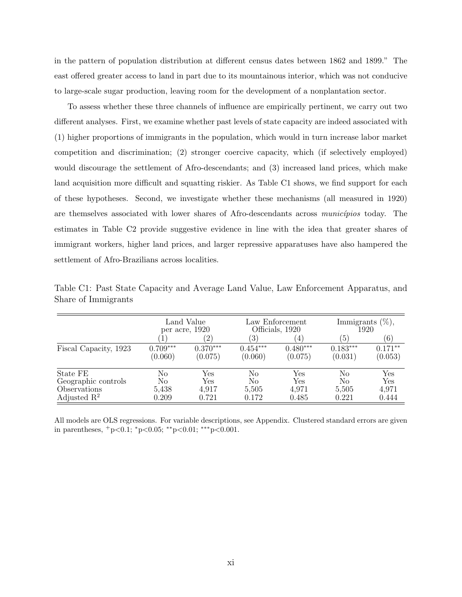in the pattern of population distribution at different census dates between 1862 and 1899." The east offered greater access to land in part due to its mountainous interior, which was not conducive to large-scale sugar production, leaving room for the development of a nonplantation sector.

To assess whether these three channels of influence are empirically pertinent, we carry out two different analyses. First, we examine whether past levels of state capacity are indeed associated with (1) higher proportions of immigrants in the population, which would in turn increase labor market competition and discrimination; (2) stronger coercive capacity, which (if selectively employed) would discourage the settlement of Afro-descendants; and (3) increased land prices, which make land acquisition more difficult and squatting riskier. As Table C1 shows, we find support for each of these hypotheses. Second, we investigate whether these mechanisms (all measured in 1920) are themselves associated with lower shares of Afro-descendants across municipios today. The estimates in Table C2 provide suggestive evidence in line with the idea that greater shares of immigrant workers, higher land prices, and larger repressive apparatuses have also hampered the settlement of Afro-Brazilians across localities.

|                         | Land Value<br>per acre, 1920 |                       |                       | Law Enforcement<br>Officials, 1920 | Immigrants $(\%)$ ,<br>1920 |                      |  |
|-------------------------|------------------------------|-----------------------|-----------------------|------------------------------------|-----------------------------|----------------------|--|
|                         | 1                            | $\left( 2\right)$     | $\left(3\right)$      | $\left(4\right)$                   | [5]                         | (6)                  |  |
| Fiscal Capacity, 1923   | $0.709***$<br>(0.060)        | $0.370***$<br>(0.075) | $0.454***$<br>(0.060) | $0.480***$<br>(0.075)              | $0.183***$<br>(0.031)       | $0.171**$<br>(0.053) |  |
| State FE                | No                           | Yes                   | No                    | Yes                                | No                          | Yes                  |  |
| Geographic controls     | No                           | Yes                   | No                    | Yes                                | No                          | Yes                  |  |
| Observations            | 5,438                        | 4,917                 | 5,505                 | 4,971                              | 5,505                       | 4,971                |  |
| Adjusted $\mathbb{R}^2$ | 0.209                        | 0.721                 | 0.172                 | 0.485                              | 0.221                       | 0.444                |  |

Table C1: Past State Capacity and Average Land Value, Law Enforcement Apparatus, and Share of Immigrants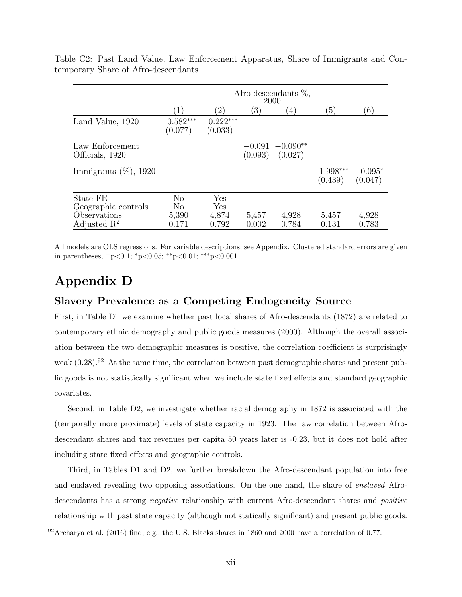|                                         | Afro-descendants $\%$ ,<br>2000  |                        |                |                                           |                                              |                |  |
|-----------------------------------------|----------------------------------|------------------------|----------------|-------------------------------------------|----------------------------------------------|----------------|--|
|                                         | $^{\prime}1$ .                   | (2)                    | 3)             | $^{(4)}$                                  | $\left(5\right)$                             | (6)            |  |
| Land Value, 1920                        | $-0.582***$<br>(0.077)           | $-0.222***$<br>(0.033) |                |                                           |                                              |                |  |
| Law Enforcement<br>Officials, 1920      |                                  |                        |                | $-0.091 - 0.090**$<br>$(0.093)$ $(0.027)$ |                                              |                |  |
| Immigrants $(\%)$ , 1920                |                                  |                        |                |                                           | $-1.998***$ $-0.095*$<br>$(0.439)$ $(0.047)$ |                |  |
| State FE<br>Geographic controls         | N <sub>0</sub><br>N <sub>0</sub> | Yes<br>Yes             |                |                                           |                                              |                |  |
| Observations<br>Adjusted $\mathbb{R}^2$ | 5,390<br>0.171                   | 4,874<br>0.792         | 5,457<br>0.002 | 4,928<br>0.784                            | 5,457<br>0.131                               | 4,928<br>0.783 |  |

Table C2: Past Land Value, Law Enforcement Apparatus, Share of Immigrants and Contemporary Share of Afro-descendants

All models are OLS regressions. For variable descriptions, see Appendix. Clustered standard errors are given in parentheses,  $+p<0.1$ ;  ${}^*p<0.05$ ;  ${}^*p<0.01$ ;  ${}^{**}p<0.001$ .

## Appendix D

#### Slavery Prevalence as a Competing Endogeneity Source

First, in Table D1 we examine whether past local shares of Afro-descendants (1872) are related to contemporary ethnic demography and public goods measures (2000). Although the overall association between the two demographic measures is positive, the correlation coefficient is surprisingly weak  $(0.28)$ .<sup>92</sup> At the same time, the correlation between past demographic shares and present public goods is not statistically significant when we include state fixed effects and standard geographic covariates.

Second, in Table D2, we investigate whether racial demography in 1872 is associated with the (temporally more proximate) levels of state capacity in 1923. The raw correlation between Afrodescendant shares and tax revenues per capita 50 years later is -0.23, but it does not hold after including state fixed effects and geographic controls.

Third, in Tables D1 and D2, we further breakdown the Afro-descendant population into free and enslaved revealing two opposing associations. On the one hand, the share of *enslaved* Afrodescendants has a strong *negative* relationship with current Afro-descendant shares and *positive* relationship with past state capacity (although not statically significant) and present public goods.

 $^{92}$ Archarya et al. (2016) find, e.g., the U.S. Blacks shares in 1860 and 2000 have a correlation of 0.77.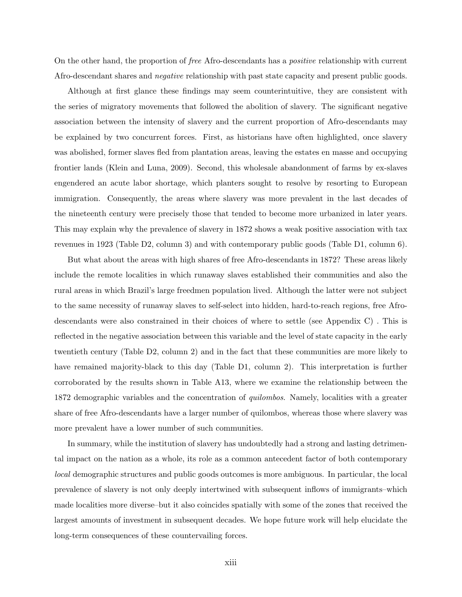On the other hand, the proportion of free Afro-descendants has a positive relationship with current Afro-descendant shares and negative relationship with past state capacity and present public goods.

Although at first glance these findings may seem counterintuitive, they are consistent with the series of migratory movements that followed the abolition of slavery. The significant negative association between the intensity of slavery and the current proportion of Afro-descendants may be explained by two concurrent forces. First, as historians have often highlighted, once slavery was abolished, former slaves fled from plantation areas, leaving the estates en masse and occupying frontier lands (Klein and Luna, 2009). Second, this wholesale abandonment of farms by ex-slaves engendered an acute labor shortage, which planters sought to resolve by resorting to European immigration. Consequently, the areas where slavery was more prevalent in the last decades of the nineteenth century were precisely those that tended to become more urbanized in later years. This may explain why the prevalence of slavery in 1872 shows a weak positive association with tax revenues in 1923 (Table D2, column 3) and with contemporary public goods (Table D1, column 6).

But what about the areas with high shares of free Afro-descendants in 1872? These areas likely include the remote localities in which runaway slaves established their communities and also the rural areas in which Brazil's large freedmen population lived. Although the latter were not subject to the same necessity of runaway slaves to self-select into hidden, hard-to-reach regions, free Afrodescendants were also constrained in their choices of where to settle (see Appendix C) . This is reflected in the negative association between this variable and the level of state capacity in the early twentieth century (Table D2, column 2) and in the fact that these communities are more likely to have remained majority-black to this day (Table D1, column 2). This interpretation is further corroborated by the results shown in Table A13, where we examine the relationship between the 1872 demographic variables and the concentration of *quilombos*. Namely, localities with a greater share of free Afro-descendants have a larger number of quilombos, whereas those where slavery was more prevalent have a lower number of such communities.

In summary, while the institution of slavery has undoubtedly had a strong and lasting detrimental impact on the nation as a whole, its role as a common antecedent factor of both contemporary local demographic structures and public goods outcomes is more ambiguous. In particular, the local prevalence of slavery is not only deeply intertwined with subsequent inflows of immigrants–which made localities more diverse–but it also coincides spatially with some of the zones that received the largest amounts of investment in subsequent decades. We hope future work will help elucidate the long-term consequences of these countervailing forces.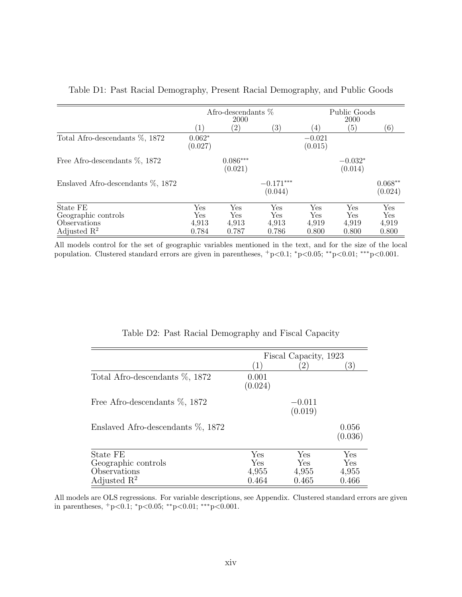|                                                                            | Afro-descendants $%$<br>2000 |                              |                              | Public Goods<br>2000         |                              |                              |
|----------------------------------------------------------------------------|------------------------------|------------------------------|------------------------------|------------------------------|------------------------------|------------------------------|
|                                                                            | $\left(1\right)$             | $\left( 2\right)$            | $\left(3\right)$             | (4)                          | (5)                          | (6)                          |
| Total Afro-descendants %, 1872                                             | $0.062*$<br>(0.027)          |                              |                              | $-0.021$<br>(0.015)          |                              |                              |
| Free Afro-descendants $\%$ , 1872                                          |                              | $0.086***$<br>(0.021)        |                              |                              | $-0.032*$<br>(0.014)         |                              |
| Enslaved Afro-descendants $\%$ , 1872                                      |                              |                              | $-0.171***$<br>(0.044)       |                              |                              | $0.068**$<br>(0.024)         |
| State FE<br>Geographic controls<br>Observations<br>Adjusted $\mathbb{R}^2$ | Yes<br>Yes<br>4,913<br>0.784 | Yes<br>Yes<br>4,913<br>0.787 | Yes<br>Yes<br>4,913<br>0.786 | Yes<br>Yes<br>4,919<br>0.800 | Yes<br>Yes<br>4,919<br>0.800 | Yes<br>Yes<br>4,919<br>0.800 |

Table D1: Past Racial Demography, Present Racial Demography, and Public Goods

All models control for the set of geographic variables mentioned in the text, and for the size of the local population. Clustered standard errors are given in parentheses,  $+p<0.1$ ;  $p<0.05$ ; \*\*p $<0.01$ ; \*\*\*p $<0.001$ .

|                                   | Fiscal Capacity, 1923 |                     |                  |  |  |
|-----------------------------------|-----------------------|---------------------|------------------|--|--|
|                                   | (1)                   | $\left(2\right)$    | 3)               |  |  |
| Total Afro-descendants %, 1872    | 0.001<br>(0.024)      |                     |                  |  |  |
| Free Afro-descendants %, 1872     |                       | $-0.011$<br>(0.019) |                  |  |  |
| Enslaved Afro-descendants %, 1872 |                       |                     | 0.056<br>(0.036) |  |  |
| State FE                          | Yes                   | Yes                 | Yes              |  |  |
| Geographic controls               | Yes                   | Yes                 | Yes              |  |  |
| Observations                      | 4,955                 | 4,955               | 4,955            |  |  |
| Adjusted $\mathbb{R}^2$           | 0.464                 | 0.465               | 0.466            |  |  |

Table D2: Past Racial Demography and Fiscal Capacity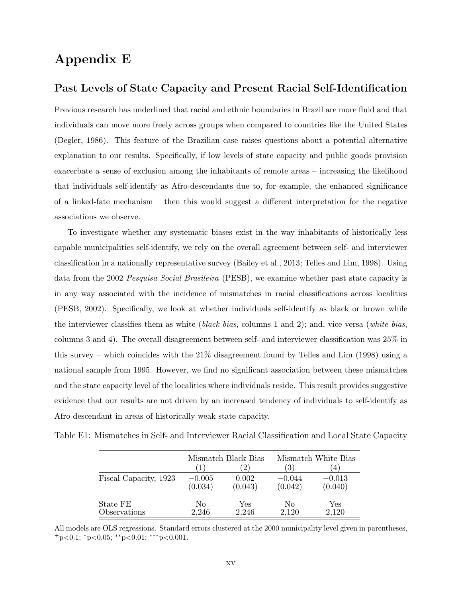### Appendix E

#### Past Levels of State Capacity and Present Racial Self-Identification

Previous research has underlined that racial and ethnic boundaries in Brazil are more fluid and that individuals can move more freely across groups when compared to countries like the United States (Degler, 1986). This feature of the Brazilian case raises questions about a potential alternative explanation to our results. Specifically, if low levels of state capacity and public goods provision exacerbate a sense of exclusion among the inhabitants of remote areas – increasing the likelihood that individuals self-identify as Afro-descendants due to, for example, the enhanced significance of a linked-fate mechanism – then this would suggest a different interpretation for the negative associations we observe.

To investigate whether any systematic biases exist in the way inhabitants of historically less capable municipalities self-identify, we rely on the overall agreement between self- and interviewer classification in a nationally representative survey (Bailey et al., 2013; Telles and Lim, 1998). Using data from the 2002 Pesquisa Social Brasileira (PESB), we examine whether past state capacity is in any way associated with the incidence of mismatches in racial classifications across localities (PESB, 2002). Specifically, we look at whether individuals self-identify as black or brown while the interviewer classifies them as white *(black bias, columns 1 and 2)*; and, vice versa *(white bias,* columns 3 and 4). The overall disagreement between self- and interviewer classification was 25% in this survey – which coincides with the 21% disagreement found by Telles and Lim (1998) using a national sample from 1995. However, we find no significant association between these mismatches and the state capacity level of the localities where individuals reside. This result provides suggestive evidence that our results are not driven by an increased tendency of individuals to self-identify as Afro-descendant in areas of historically weak state capacity.

|  |  |  |  |  | Table E1: Mismatches in Self- and Interviewer Racial Classification and Local State Capacity |  |  |  |  |
|--|--|--|--|--|----------------------------------------------------------------------------------------------|--|--|--|--|
|--|--|--|--|--|----------------------------------------------------------------------------------------------|--|--|--|--|

|                       |          | Mismatch Black Bias | Mismatch White Bias |                  |  |
|-----------------------|----------|---------------------|---------------------|------------------|--|
|                       |          | $^{\prime}2)$       | $\left(3\right)$    | $\left(4\right)$ |  |
| Fiscal Capacity, 1923 | $-0.005$ | 0.002               | $-0.044$            | $-0.013$         |  |
|                       | (0.034)  | (0.043)             | (0.042)             | (0.040)          |  |
| State FE              | No       | Yes                 | Nο                  | Yes              |  |
| Observations          | 2,246    | 2,246               | 2.120               | 2,120            |  |

All models are OLS regressions. Standard errors clustered at the 2000 municipality level given in parentheses,  $+$ p<0.1; \*p<0.05; \*\*p<0.01; \*\*\*p<0.001.